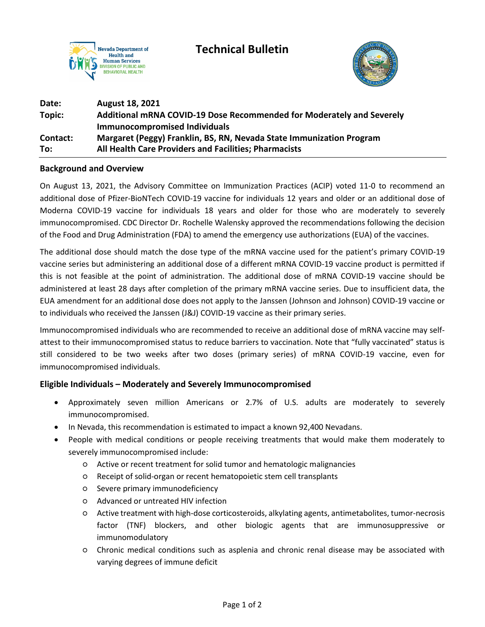



| Date:    | <b>August 18, 2021</b>                                                |
|----------|-----------------------------------------------------------------------|
| Topic:   | Additional mRNA COVID-19 Dose Recommended for Moderately and Severely |
|          | <b>Immunocompromised Individuals</b>                                  |
| Contact: | Margaret (Peggy) Franklin, BS, RN, Nevada State Immunization Program  |
| To:      | All Health Care Providers and Facilities; Pharmacists                 |

### **Background and Overview**

On August 13, 2021, the Advisory Committee on Immunization Practices (ACIP) voted 11-0 to recommend an additional dose of Pfizer-BioNTech COVID-19 vaccine for individuals 12 years and older or an additional dose of Moderna COVID-19 vaccine for individuals 18 years and older for those who are moderately to severely immunocompromised. CDC Director Dr. Rochelle Walensky approved the recommendations following the decision of the Food and Drug Administration (FDA) to amend the emergency use authorizations (EUA) of the vaccines.

The additional dose should match the dose type of the mRNA vaccine used for the patient's primary COVID-19 vaccine series but administering an additional dose of a different mRNA COVID-19 vaccine product is permitted if this is not feasible at the point of administration. The additional dose of mRNA COVID-19 vaccine should be administered at least 28 days after completion of the primary mRNA vaccine series. Due to insufficient data, the EUA amendment for an additional dose does not apply to the Janssen (Johnson and Johnson) COVID-19 vaccine or to individuals who received the Janssen (J&J) COVID-19 vaccine as their primary series.

Immunocompromised individuals who are recommended to receive an additional dose of mRNA vaccine may selfattest to their immunocompromised status to reduce barriers to vaccination. Note that "fully vaccinated" status is still considered to be two weeks after two doses (primary series) of mRNA COVID-19 vaccine, even for immunocompromised individuals.

# **Eligible Individuals – Moderately and Severely Immunocompromised**

- Approximately seven million Americans or 2.7% of U.S. adults are moderately to severely immunocompromised.
- In Nevada, this recommendation is estimated to impact a known 92,400 Nevadans.
- People with medical conditions or people receiving treatments that would make them moderately to severely immunocompromised include:
	- Active or recent treatment for solid tumor and hematologic malignancies
	- Receipt of solid-organ or recent hematopoietic stem cell transplants
	- Severe primary immunodeficiency
	- Advanced or untreated HIV infection
	- Active treatment with high-dose corticosteroids, alkylating agents, antimetabolites, tumor-necrosis factor (TNF) blockers, and other biologic agents that are immunosuppressive or immunomodulatory
	- Chronic medical conditions such as asplenia and chronic renal disease may be associated with varying degrees of immune deficit